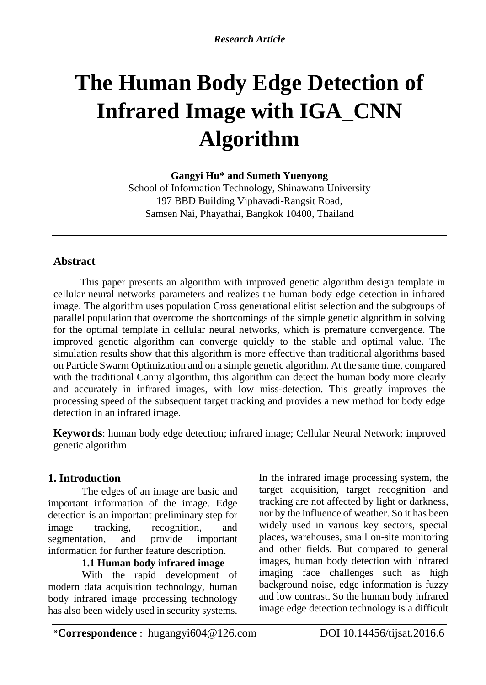# **The Human Body Edge Detection of Infrared Image with IGA\_CNN Algorithm**

**Gangyi Hu\* and Sumeth Yuenyong** 

School of Information Technology, Shinawatra University 197 BBD Building Viphavadi-Rangsit Road, Samsen Nai, Phayathai, Bangkok 10400, Thailand

# **Abstract**

This paper presents an algorithm with improved genetic algorithm design template in cellular neural networks parameters and realizes the human body edge detection in infrared image. The algorithm uses population Cross generational elitist selection and the subgroups of parallel population that overcome the shortcomings of the simple genetic algorithm in solving for the optimal template in cellular neural networks, which is premature convergence. The improved genetic algorithm can converge quickly to the stable and optimal value. The simulation results show that this algorithm is more effective than traditional algorithms based on Particle Swarm Optimization and on a simple genetic algorithm. At the same time, compared with the traditional Canny algorithm, this algorithm can detect the human body more clearly and accurately in infrared images, with low miss-detection. This greatly improves the processing speed of the subsequent target tracking and provides a new method for body edge detection in an infrared image.

**Keywords**: human body edge detection; infrared image; Cellular Neural Network; improved genetic algorithm

# **1. Introduction**

The edges of an image are basic and important information of the image. Edge detection is an important preliminary step for image tracking, recognition, and segmentation, and provide important information for further feature description.

# **1.1 Human body infrared image**

With the rapid development of modern data acquisition technology, human body infrared image processing technology has also been widely used in security systems.

In the infrared image processing system, the target acquisition, target recognition and tracking are not affected by light or darkness, nor by the influence of weather. So it has been widely used in various key sectors, special places, warehouses, small on-site monitoring and other fields. But compared to general images, human body detection with infrared imaging face challenges such as high background noise, edge information is fuzzy and low contrast. So the human body infrared image edge detection technology is a difficult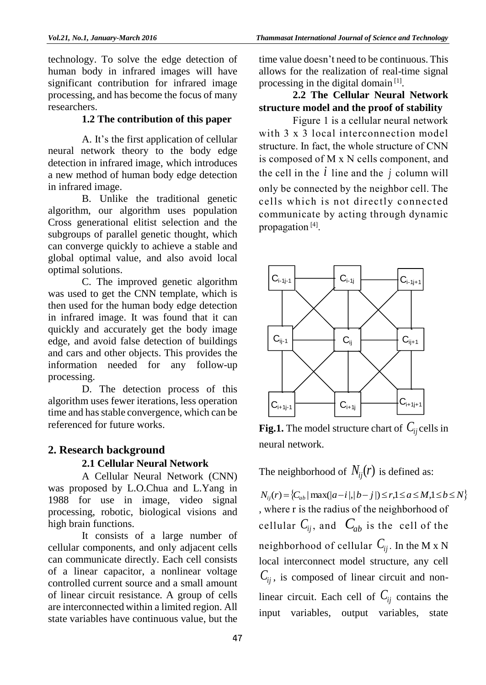technology. To solve the edge detection of human body in infrared images will have significant contribution for infrared image processing, and has become the focus of many researchers.

#### **1.2 The contribution of this paper**

 A. It's the first application of cellular neural network theory to the body edge detection in infrared image, which introduces a new method of human body edge detection in infrared image.

 B. Unlike the traditional genetic algorithm, our algorithm uses population Cross generational elitist selection and the subgroups of parallel genetic thought, which can converge quickly to achieve a stable and global optimal value, and also avoid local optimal solutions.

C. The improved genetic algorithm was used to get the CNN template, which is then used for the human body edge detection in infrared image. It was found that it can quickly and accurately get the body image edge, and avoid false detection of buildings and cars and other objects. This provides the information needed for any follow-up processing.

D. The detection process of this algorithm uses fewer iterations, less operation time and has stable convergence, which can be referenced for future works.

# **2. Research background**

#### **2.1 Cellular Neural Network**

 A Cellular Neural Network (CNN) was proposed by L.O.Chua and L.Yang in 1988 for use in image, video signal processing, robotic, biological visions and high brain functions.

 It consists of a large number of cellular components, and only adjacent cells can communicate directly. Each cell consists of a linear capacitor, a nonlinear voltage controlled current source and a small amount of linear circuit resistance. A group of cells are interconnected within a limited region. All state variables have continuous value, but the

time value doesn't need to be continuous. This allows for the realization of real-time signal processing in the digital domain<sup>[1]</sup>.

# **2.2 The Cellular Neural Network structure model and the proof of stability**

Figure 1 is a cellular neural network with 3 x 3 local interconnection model structure. In fact, the whole structure of CNN is composed of M x N cells component, and the cell in the  $i$  line and the  $j$  column will only be connected by the neighbor cell. The cells which is not directly connected communicate by acting through dynamic propagation<sup>[4]</sup>.



**Fig.1.** The model structure chart of  $C_{ij}$  cells in neural network.

The neighborhood of  $N_{ij}(r)$  is defined as:

 $N_i(f) = \{C_{ab} | \max(|a - i|, |b - j|) \leq r, 1 \leq a \leq M, 1 \leq b \leq N\}$ , where r is the radius of the neighborhood of cellular  $C_{ij}$ , and  $C_{ab}$  is the cell of the neighborhood of cellular  $\mathcal{C}_{ij}$ . In the M x N local interconnect model structure, any cell *Cij* , is composed of linear circuit and nonlinear circuit. Each cell of  $C_{ij}$  contains the input variables, output variables, state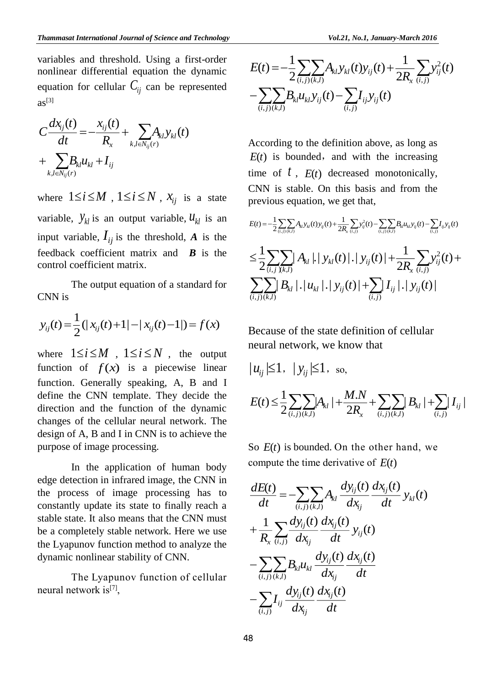variables and threshold. Using a first-order nonlinear differential equation the dynamic equation for cellular  $C_{ij}$  can be represented  $a s^{[3]}$ 

$$
C\frac{dx_{ij}(t)}{dt} = -\frac{x_{ij}(t)}{R_x} + \sum_{k,l \in N_{ij}(r)} A_{kl} y_{kl}(t) + \sum_{k,l \in N_{ij}(r)} B_{kl} u_{kl} + I_{ij}
$$

where  $1 \le i \le M$ ,  $1 \le i \le N$ ,  $x_{ij}$  is a state variable,  $y_{kl}$  is an output variable,  $u_{kl}$  is an input variable,  $I_{ij}$  is the threshold, A is the feedback coefficient matrix and *B* is the control coefficient matrix.

 The output equation of a standard for CNN is

$$
y_{ij}(t) = \frac{1}{2}(|x_{ij}(t) + 1| - |x_{ij}(t) - 1|) = f(x)
$$

where  $1 \le i \le M$ ,  $1 \le i \le N$ , the output function of  $f(x)$  is a piecewise linear function. Generally speaking, A, B and I define the CNN template. They decide the direction and the function of the dynamic changes of the cellular neural network. The design of A, B and I in CNN is to achieve the purpose of image processing.

 In the application of human body edge detection in infrared image, the CNN in the process of image processing has to constantly update its state to finally reach a stable state. It also means that the CNN must be a completely stable network. Here we use the Lyapunov function method to analyze the dynamic nonlinear stability of CNN.

 The Lyapunov function of cellular neural network is<sup>[7]</sup>,

$$
E(t) = -\frac{1}{2} \sum_{(i,j)} \sum_{(k,l)} A_{kl} y_{kl}(t) y_{ij}(t) + \frac{1}{2R_x} \sum_{(i,j)} y_{ij}^2(t)
$$

$$
- \sum_{(i,j)} \sum_{(k,l)} B_{kl} u_{kl} y_{ij}(t) - \sum_{(i,j)} I_{ij} y_{ij}(t)
$$

According to the definition above, as long as  $E(t)$  is bounded, and with the increasing time of  $t$ ,  $E(t)$  decreased monotonically, CNN is stable. On this basis and from the previous equation, we get that,

$$
E(t) = -\frac{1}{2} \sum_{(i,j)} \sum_{(k,l)} A_{kl} y_{kl}(t) y_{ij}(t) + \frac{1}{2R_x} \sum_{(i,j)} y_{ij}^2(t) - \sum_{(i,j)} \sum_{(k,l)} B_{kl} u_{kl} y_{ij}(t) - \sum_{(i,j)} I_{ij} y_{ij}(t)
$$
  

$$
\leq \frac{1}{2} \sum_{(i,j)} \sum_{\chi(k,l)} A_{kl} |A_{kl} y_{kl}(t)| + \frac{1}{2R_x} \sum_{(i,j)} y_{ij}^2(t) + \sum_{(i,j)} \sum_{(k,l)} B_{kl} |A_{kl} y_{kl}(t) |y_{ij}(t)| + \sum_{(i,j)} I_{ij} |A_{ij} y_{ij}(t)|
$$

Because of the state definition of cellular neural network, we know that

$$
|u_{ij}| \le 1, \quad |y_{ij}| \le 1, \text{ so,}
$$
  

$$
E(t) \le \frac{1}{2} \sum_{(i,j)} \sum_{(k,l)} |A_{kl}| + \frac{M.N}{2R_x} + \sum_{(i,j)} \sum_{(k,l)} |B_{kl}| + \sum_{(i,j)} I_{ij}|
$$

So *E*(*t*) is bounded. On the other hand, we compute the time derivative of *E*(*t*)

$$
\frac{dE(t)}{dt} = -\sum_{(i,j)} \sum_{(k,l)} A_{kl} \frac{dy_{ij}(t)}{dx_{ij}} \frac{dx_{ij}(t)}{dt} y_{kl}(t) \n+ \frac{1}{R_x} \sum_{(i,j)} \frac{dy_{ij}(t)}{dx_{ij}} \frac{dx_{ij}(t)}{dt} y_{ij}(t) \n- \sum_{(i,j)} \sum_{(k,l)} B_{kl} u_{kl} \frac{dy_{ij}(t)}{dx_{ij}} \frac{dx_{ij}(t)}{dt} \n- \sum_{(i,j)} I_{ij} \frac{dy_{ij}(t)}{dx_{ij}} \frac{dx_{ij}(t)}{dt}
$$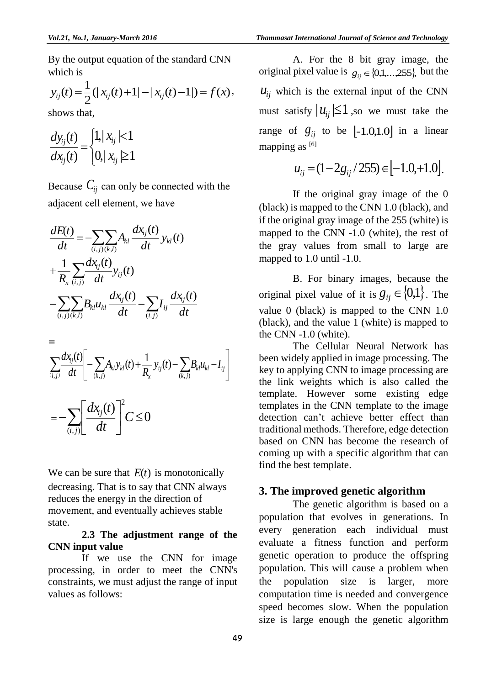By the output equation of the standard CNN which is

$$
y_{ij}(t) = \frac{1}{2}(|x_{ij}(t) + 1| - |x_{ij}(t) - 1|) = f(x),
$$

shows that,

$$
\frac{dy_{ij}(t)}{dx_{ij}(t)} = \begin{cases} 1, & |x_{ij}| < 1 \\ 0, & |x_{ij}| \ge 1 \end{cases}
$$

Because  $C_{ij}$  can only be connected with the adjacent cell element, we have

$$
\frac{dE(t)}{dt} = -\sum_{(i,j)(k,l)} \sum_{j} A_{kl} \frac{dx_{ij}(t)}{dt} y_{kl}(t) \n+ \frac{1}{R_x} \sum_{(i,j)} \frac{dx_{ij}(t)}{dt} y_{ij}(t) \n- \sum_{(i,j)(k,l)} \sum_{j} B_{kl} u_{kl} \frac{dx_{ij}(t)}{dt} - \sum_{(i,j)} I_{ij} \frac{dx_{ij}(t)}{dt} \n= 1.48\sqrt{2}
$$

$$
\sum_{(i,j)}\frac{dx_{ij}(t)}{dt} \left[ -\sum_{(k,j)} A_{kl} y_{kl}(t) + \frac{1}{R_x} y_{ij}(t) - \sum_{(k,j)} B_{kl} u_{kl} - I_{ij} \right]
$$
  
= 
$$
-\sum_{(i,j)} \left[ \frac{dx_{ij}(t)}{dt} \right]^2 C \le 0
$$

We can be sure that  $E(t)$  is monotonically decreasing. That is to say that CNN always reduces the energy in the direction of movement, and eventually achieves stable state.

#### **2.3 The adjustment range of the CNN input value**

 If we use the CNN for image processing, in order to meet the CNN's constraints, we must adjust the range of input values as follows:

 A. For the 8 bit gray image, the original pixel value is  $g_{ij} \in \{0,1,\dots,255\}$ , but the  $u_{ij}$  which is the external input of the CNN must satisfy  $|u_{ij}| \leq 1$ , so we must take the range of  $g_{ij}$  to be  $[-1.0,1.0]$  in a linear mapping as [6]

$$
u_{ij} = (1 - 2g_{ij} / 255) \in [-1.0, +1.0].
$$

 If the original gray image of the 0 (black) is mapped to the CNN 1.0 (black), and if the original gray image of the 255 (white) is mapped to the CNN -1.0 (white), the rest of the gray values from small to large are mapped to 1.0 until -1.0.

 B. For binary images, because the original pixel value of it is  $g_{ij} \in \{0,1\}$ . The value 0 (black) is mapped to the CNN 1.0 (black), and the value 1 (white) is mapped to the CNN -1.0 (white).

 The Cellular Neural Network has been widely applied in image processing. The key to applying CNN to image processing are the link weights which is also called the template. However some existing edge templates in the CNN template to the image detection can't achieve better effect than traditional methods. Therefore, edge detection based on CNN has become the research of coming up with a specific algorithm that can find the best template.

#### **3. The improved genetic algorithm**

The genetic algorithm is based on a population that evolves in generations. In every generation each individual must evaluate a fitness function and perform genetic operation to produce the offspring population. This will cause a problem when the population size is larger, more computation time is needed and convergence speed becomes slow. When the population size is large enough the genetic algorithm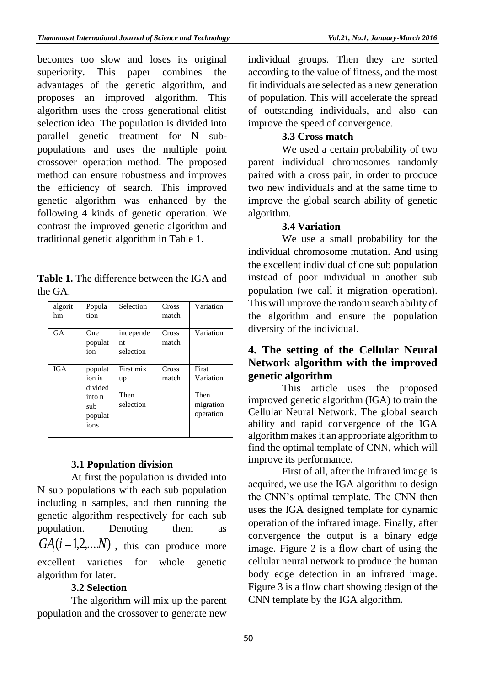becomes too slow and loses its original superiority. This paper combines the advantages of the genetic algorithm, and proposes an improved algorithm. This algorithm uses the cross generational elitist selection idea. The population is divided into parallel genetic treatment for N subpopulations and uses the multiple point crossover operation method. The proposed method can ensure robustness and improves the efficiency of search. This improved genetic algorithm was enhanced by the following 4 kinds of genetic operation. We contrast the improved genetic algorithm and traditional genetic algorithm in Table 1.

**Table 1.** The difference between the IGA and the GA.

| algorit<br>hm | Popula<br>tion                                                   | Selection                            | Cross<br>match | Variation                                            |
|---------------|------------------------------------------------------------------|--------------------------------------|----------------|------------------------------------------------------|
| <b>GA</b>     | One<br>populat<br>ion                                            | independe<br>nt.<br>selection        | Cross<br>match | Variation                                            |
| <b>IGA</b>    | populat<br>ion is<br>divided<br>into n<br>sub<br>populat<br>ions | First mix<br>up<br>Then<br>selection | Cross<br>match | First<br>Variation<br>Then<br>migration<br>operation |

## **3.1 Population division**

At first the population is divided into N sub populations with each sub population including n samples, and then running the genetic algorithm respectively for each sub population. Denoting them as  $GA(i=1,2,...N)$  , this can produce more excellent varieties for whole genetic algorithm for later.

## **3.2 Selection**

The algorithm will mix up the parent population and the crossover to generate new individual groups. Then they are sorted according to the value of fitness, and the most fit individuals are selected as a new generation of population. This will accelerate the spread of outstanding individuals, and also can improve the speed of convergence.

## **3.3 Cross match**

We used a certain probability of two parent individual chromosomes randomly paired with a cross pair, in order to produce two new individuals and at the same time to improve the global search ability of genetic algorithm.

### **3.4 Variation**

We use a small probability for the individual chromosome mutation. And using the excellent individual of one sub population instead of poor individual in another sub population (we call it migration operation). This will improve the random search ability of the algorithm and ensure the population diversity of the individual.

# **4. The setting of the Cellular Neural Network algorithm with the improved genetic algorithm**

This article uses the proposed improved genetic algorithm (IGA) to train the Cellular Neural Network. The global search ability and rapid convergence of the IGA algorithm makes it an appropriate algorithm to find the optimal template of CNN, which will improve its performance.

 First of all, after the infrared image is acquired, we use the IGA algorithm to design the CNN's optimal template. The CNN then uses the IGA designed template for dynamic operation of the infrared image. Finally, after convergence the output is a binary edge image. Figure 2 is a flow chart of using the cellular neural network to produce the human body edge detection in an infrared image. Figure 3 is a flow chart showing design of the CNN template by the IGA algorithm.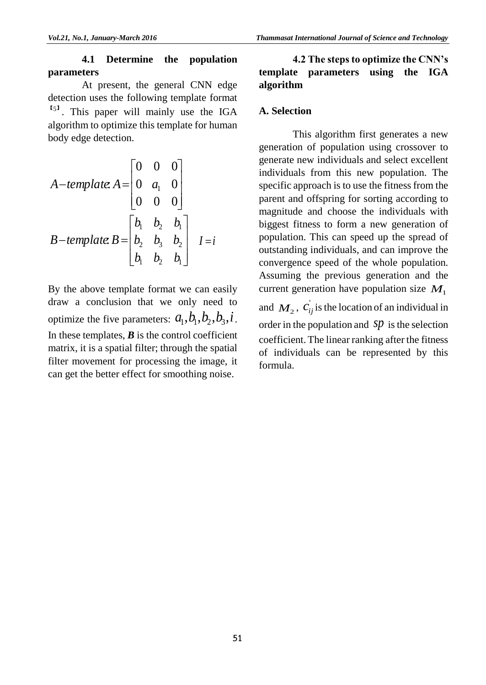# **4.1 Determine the population parameters**

At present, the general CNN edge detection uses the following template format  $<sup>[51]</sup>$ . This paper will mainly use the IGA</sup> algorithm to optimize this template for human body edge detection.

A-*template*, 
$$
A = \begin{bmatrix} 0 & 0 & 0 \\ 0 & a_1 & 0 \\ 0 & 0 & 0 \end{bmatrix}
$$
  
B-*template*,  $B = \begin{bmatrix} b_1 & b_2 & b_1 \\ b_2 & b_3 & b_2 \\ b_1 & b_2 & b_1 \end{bmatrix}$   $I = i$ 

By the above template format we can easily draw a conclusion that we only need to optimize the five parameters:  $a_1$ , $b_1$ , $b_2$ , $b_3$ , $i$ . In these templates,  $\boldsymbol{B}$  is the control coefficient matrix, it is a spatial filter; through the spatial filter movement for processing the image, it can get the better effect for smoothing noise.

# **4.2 The steps to optimize the CNN's template parameters using the IGA algorithm**

#### **A. Selection**

This algorithm first generates a new generation of population using crossover to generate new individuals and select excellent individuals from this new population. The specific approach is to use the fitness from the parent and offspring for sorting according to magnitude and choose the individuals with biggest fitness to form a new generation of population. This can speed up the spread of outstanding individuals, and can improve the convergence speed of the whole population. Assuming the previous generation and the current generation have population size  $M_1$ 

and  $M_2$ ,  $c_{ij}$  is the location of an individual in order in the population and  $\,sp\,$  is the selection coefficient. The linear ranking after the fitness of individuals can be represented by this formula.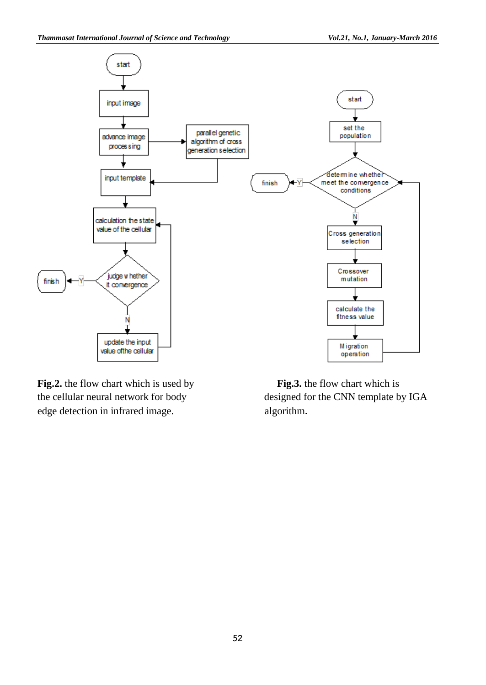

**Fig.2.** the flow chart which is used by **Fig.3.** the flow chart which is edge detection in infrared image. algorithm.

the cellular neural network for body designed for the CNN template by IGA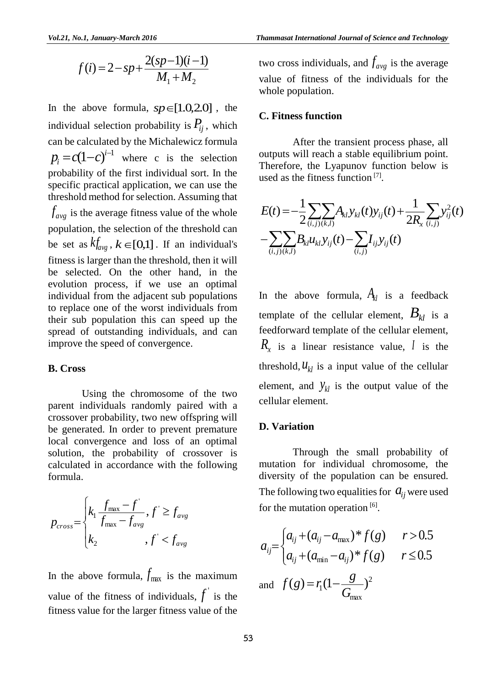$$
f(i) = 2 - sp + \frac{2(sp-1)(i-1)}{M_1 + M_2}
$$

In the above formula,  $sp \in [1.0, 2.0]$ , the individual selection probability is  $P_{ij}$ , which can be calculated by the Michalewicz formula  $p_i = c(1-c)^{i-1}$  where c is the selection probability of the first individual sort. In the specific practical application, we can use the threshold method for selection. Assuming that  $f_{avg}$  is the average fitness value of the whole population, the selection of the threshold can be set as  $k f_{avg}$ ,  $k \in [0,1]$ . If an individual's fitness is larger than the threshold, then it will be selected. On the other hand, in the evolution process, if we use an optimal individual from the adjacent sub populations to replace one of the worst individuals from their sub population this can speed up the spread of outstanding individuals, and can improve the speed of convergence.

#### **B. Cross**

Using the chromosome of the two parent individuals randomly paired with a crossover probability, two new offspring will be generated. In order to prevent premature local convergence and loss of an optimal solution, the probability of crossover is calculated in accordance with the following formula.

$$
p_{cross} = \begin{cases} k_1 \frac{f_{\text{max}} - f'}{f_{\text{max}} - f_{\text{avg}}}, f' \ge f_{\text{avg}} \\ k_2, f' < f_{\text{avg}} \end{cases}
$$

In the above formula,  $f_{\text{max}}$  is the maximum value of the fitness of individuals,  $f'$  is the fitness value for the larger fitness value of the

two cross individuals, and  $f_{avg}$  is the average value of fitness of the individuals for the whole population.

#### **C. Fitness function**

After the transient process phase, all outputs will reach a stable equilibrium point. Therefore, the Lyapunov function below is used as the fitness function<sup>[7]</sup>.

$$
E(t) = -\frac{1}{2} \sum_{(i,j)(k,l)} \sum_{j|k,l} A_{kl} y_{kl}(t) y_{ij}(t) + \frac{1}{2R_x} \sum_{(i,j)} y_{ij}^2(t)
$$

$$
- \sum_{(i,j)(k,l)} \sum_{j|k,l} B_{kl} u_{kl} y_{ij}(t) - \sum_{(i,j)} I_{ij} y_{ij}(t)
$$

In the above formula,  $A_{kl}$  is a feedback template of the cellular element,  $B_{kl}$  is a feedforward template of the cellular element,  $R_x$  is a linear resistance value, *l* is the threshold,  $u_{kl}$  is a input value of the cellular element, and  $y_{kl}$  is the output value of the cellular element.

#### **D. Variation**

Through the small probability of mutation for individual chromosome, the diversity of the population can be ensured. The following two equalities for  $a_{ij}$  were used for the mutation operation [6].

$$
a_{ij} = \begin{cases} a_{ij} + (a_{ij} - a_{\text{max}})^* f(g) & r > 0.5 \\ a_{ij} + (a_{\text{min}} - a_{ij})^* f(g) & r \le 0.5 \end{cases}
$$

and  $f(g) = r_1(1 - \frac{8}{2})^2$ max  $(g) = r_1(1 - \frac{8}{G_m})$  $f(g) = r_1(1 - \frac{g}{g})^2$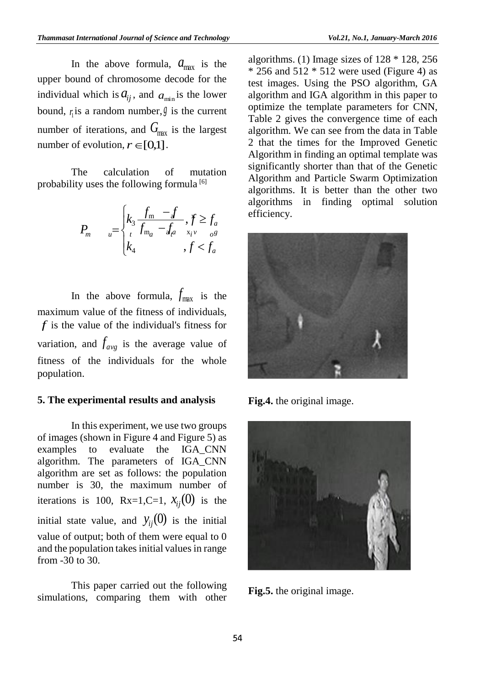In the above formula,  $a_{\text{max}}$  is the upper bound of chromosome decode for the individual which is  $a_{ij}$ , and  $a_{min}$  is the lower bound,  $r_1$  is a random number,  $\beta$  is the current number of iterations, and  $G_{\text{max}}$  is the largest number of evolution,  $r \in [0,1]$ .

 The calculation of mutation probability uses the following formula [6]

$$
P_m \qquad u = \begin{cases} k_3 \frac{f_m - f}{f_{m_a} - f_{a^a}} & \text{if } j \ge f_a \\ k_4 & \text{if } j < f_a \end{cases} \qquad \text{if } k_4
$$

In the above formula,  $f_{\text{max}}$  is the maximum value of the fitness of individuals, *f* is the value of the individual's fitness for variation, and  $f_{avg}$  is the average value of fitness of the individuals for the whole population.

#### **5. The experimental results and analysis**

In this experiment, we use two groups of images (shown in Figure 4 and Figure 5) as examples to evaluate the IGA\_CNN algorithm. The parameters of IGA\_CNN algorithm are set as follows: the population number is 30, the maximum number of iterations is 100,  $Rx=1, C=1$ ,  $x_{ij}(0)$  is the initial state value, and  $y_{ij}(0)$  is the initial value of output; both of them were equal to 0 and the population takes initial values in range from -30 to 30.

This paper carried out the following simulations, comparing them with other

algorithms. (1) Image sizes of  $128 * 128$ , 256  $*$  256 and 512  $*$  512 were used (Figure 4) as test images. Using the PSO algorithm, GA algorithm and IGA algorithm in this paper to optimize the template parameters for CNN, Table 2 gives the convergence time of each algorithm. We can see from the data in Table 2 that the times for the Improved Genetic Algorithm in finding an optimal template was significantly shorter than that of the Genetic Algorithm and Particle Swarm Optimization algorithms. It is better than the other two algorithms in finding optimal solution efficiency.



**Fig.4.** the original image.



**Fig.5.** the original image.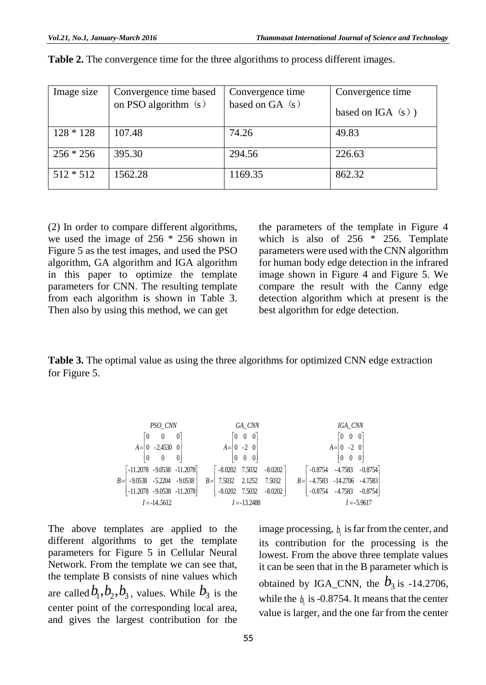| Image size  | Convergence time based<br>on PSO algorithm $(s)$ | Convergence time<br>based on $GA(s)$ | Convergence time<br>based on IGA $(s)$ ) |
|-------------|--------------------------------------------------|--------------------------------------|------------------------------------------|
| $128 * 128$ | 107.48                                           | 74.26                                | 49.83                                    |
| $256 * 256$ | 395.30                                           | 294.56                               | 226.63                                   |
| $512 * 512$ | 1562.28                                          | 1169.35                              | 862.32                                   |

**Table 2.** The convergence time for the three algorithms to process different images.

(2) In order to compare different algorithms, we used the image of 256 \* 256 shown in Figure 5 as the test images, and used the PSO algorithm, GA algorithm and IGA algorithm in this paper to optimize the template parameters for CNN. The resulting template from each algorithm is shown in Table 3. Then also by using this method, we can get

the parameters of the template in Figure 4 which is also of  $256 * 256$ . Template parameters were used with the CNN algorithm for human body edge detection in the infrared image shown in Figure 4 and Figure 5. We compare the result with the Canny edge detection algorithm which at present is the best algorithm for edge detection.

**Table 3.** The optimal value as using the three algorithms for optimized CNN edge extraction for Figure 5.

| <i>PSO_CNN</i>                                                                                                                    | <i>GA_CNN</i>                                                                                                             | <i>IGA_CNN</i>                                                                                                                 |
|-----------------------------------------------------------------------------------------------------------------------------------|---------------------------------------------------------------------------------------------------------------------------|--------------------------------------------------------------------------------------------------------------------------------|
| $A = \begin{bmatrix} 0 & 0 & 0 \\ 0 & -2.4530 & 0 \\ 0 & 0 & 0 \end{bmatrix}$                                                     | $A = \begin{bmatrix} 0 & 0 & 0 \\ 0 & -2 & 0 \\ 0 & 0 & 0 \end{bmatrix}$                                                  | $A = \begin{bmatrix} 0 & 0 & 0 \\ 0 & -2 & 0 \\ 0 & 0 & 0 \end{bmatrix}$                                                       |
| $B = \begin{bmatrix} -11.2078 & -9.0538 & -11.2078 \\ -9.0538 & -5.2204 & -9.0538 \\ -11.2078 & -9.0538 & -11.2078 \end{bmatrix}$ | $B = \begin{bmatrix} -8.0202 & 7.5032 & -8.0202 \\ -7.5032 & 2.1252 & 7.5032 \\ -8.0202 & 7.5032 & -8.0202 \end{bmatrix}$ | $B = \begin{bmatrix} -0.8754 & -4.7583 & -0.8754 \\ -4.7583 & -14.2706 & -4.7583 \\ -0.8754 & -4.7583 & -0.8754 \end{bmatrix}$ |
| $I = -14.5612$                                                                                                                    | $I = -13.2488$                                                                                                            | $I = -5.9617$                                                                                                                  |

The above templates are applied to the different algorithms to get the template parameters for Figure 5 in Cellular Neural Network. From the template we can see that, the template B consists of nine values which are called  $b_1$ ,  $b_2$ ,  $b_3$ , values. While  $b_3$  is the center point of the corresponding local area, and gives the largest contribution for the

image processing,  $b<sub>1</sub>$  is far from the center, and its contribution for the processing is the lowest. From the above three template values it can be seen that in the B parameter which is obtained by IGA\_CNN, the  $b_3$  is -14.2706, while the  $b_1$  is -0.8754. It means that the center value is larger, and the one far from the center

 $\overline{\phantom{a}}$  $\overline{\phantom{a}}$  $\overline{\phantom{a}}$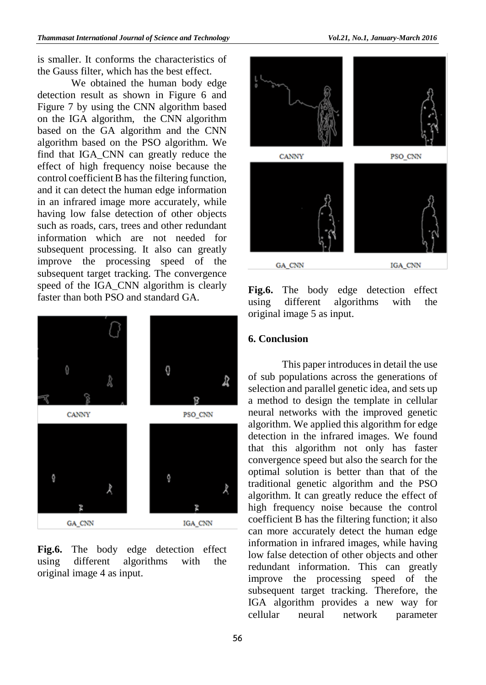is smaller. It conforms the characteristics of the Gauss filter, which has the best effect.

We obtained the human body edge detection result as shown in Figure 6 and Figure 7 by using the CNN algorithm based on the IGA algorithm, the CNN algorithm based on the GA algorithm and the CNN algorithm based on the PSO algorithm. We find that IGA\_CNN can greatly reduce the effect of high frequency noise because the control coefficient B has the filtering function, and it can detect the human edge information in an infrared image more accurately, while having low false detection of other objects such as roads, cars, trees and other redundant information which are not needed for subsequent processing. It also can greatly improve the processing speed of the subsequent target tracking. The convergence speed of the IGA\_CNN algorithm is clearly faster than both PSO and standard GA.



**Fig.6.** The body edge detection effect using different algorithms with the original image 4 as input.



**Fig.6.** The body edge detection effect using different algorithms with the original image 5 as input.

#### **6. Conclusion**

This paper introduces in detail the use of sub populations across the generations of selection and parallel genetic idea, and sets up a method to design the template in cellular neural networks with the improved genetic algorithm. We applied this algorithm for edge detection in the infrared images. We found that this algorithm not only has faster convergence speed but also the search for the optimal solution is better than that of the traditional genetic algorithm and the PSO algorithm. It can greatly reduce the effect of high frequency noise because the control coefficient B has the filtering function; it also can more accurately detect the human edge information in infrared images, while having low false detection of other objects and other redundant information. This can greatly improve the processing speed of the subsequent target tracking. Therefore, the IGA algorithm provides a new way for cellular neural network parameter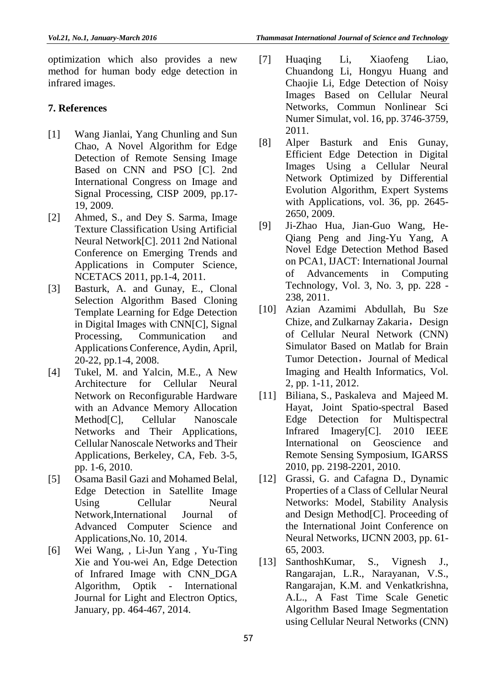optimization which also provides a new method for human body edge detection in infrared images.

#### **7. References**

- [1] Wang Jianlai, Yang Chunling and Sun Chao, A Novel Algorithm for Edge Detection of Remote Sensing Image Based on CNN and PSO [C]. 2nd International Congress on Image and Signal Processing, CISP 2009, pp.17- 19, 2009.
- [2] Ahmed, S., and Dey S. Sarma, Image Texture Classification Using Artificial Neural Network[C]. 2011 2nd National Conference on Emerging Trends and Applications in Computer Science, NCETACS 2011, pp.1-4, 2011.
- [3] Basturk, A. and Gunay, E., Clonal Selection Algorithm Based Cloning Template Learning for Edge Detection in Digital Images with CNN[C], Signal Processing, Communication and Applications Conference, Aydin, April, 20-22, pp.1-4, 2008.
- [4] Tukel, M. and Yalcin, M.E., A New Architecture for Cellular Neural Network on Reconfigurable Hardware with an Advance Memory Allocation Method<sup>[C]</sup>, Cellular Nanoscale Networks and Their Applications, Cellular Nanoscale Networks and Their Applications, Berkeley, CA, Feb. 3-5, pp. 1-6, 2010.
- [5] Osama Basil Gazi and Mohamed Belal, Edge Detection in Satellite Image Using Cellular Neural Network,International Journal of Advanced Computer Science and Applications,No. 10, 2014.
- [6] Wei Wang, , Li-Jun Yang , Yu-Ting Xie and You-wei An, Edge Detection of Infrared Image with CNN\_DGA Algorithm, Optik - International Journal for Light and Electron Optics, January, pp. 464-467, 2014.
- [7] Huaqing Li, Xiaofeng Liao, Chuandong Li, Hongyu Huang and Chaojie Li, Edge Detection of Noisy Images Based on Cellular Neural Networks, Commun Nonlinear Sci Numer Simulat, vol. 16, pp. 3746-3759, 2011.
- [8] Alper Basturk and Enis Gunay, Efficient Edge Detection in Digital Images Using a Cellular Neural Network Optimized by Differential Evolution Algorithm, Expert Systems with Applications, vol. 36, pp. 2645- 2650, 2009.
- [9] Ji-Zhao Hua, Jian-Guo Wang, He-Qiang Peng and Jing-Yu Yang, A Novel Edge Detection Method Based on PCA1, IJACT: International Journal of Advancements in Computing Technology, Vol. 3, No. 3, pp. 228 - 238, 2011.
- [10] Azian Azamimi Abdullah, Bu Sze Chize, and Zulkarnay Zakaria, Design of Cellular Neural Network (CNN) Simulator Based on Matlab for Brain Tumor Detection, Journal of Medical Imaging and Health Informatics, Vol. 2, pp. 1-11, 2012.
- [11] Biliana, S., Paskaleva and Majeed M. Hayat, Joint Spatio-spectral Based Edge Detection for Multispectral Infrared Imagery[C]. 2010 IEEE International on Geoscience and Remote Sensing Symposium, IGARSS 2010, pp. 2198-2201, 2010.
- [12] Grassi, G. and Cafagna D., Dynamic Properties of a Class of Cellular Neural Networks: Model, Stability Analysis and Design Method[C]. Proceeding of the International Joint Conference on Neural Networks, IJCNN 2003, pp. 61- 65, 2003.
- [13] SanthoshKumar, S., Vignesh J., Rangarajan, L.R., Narayanan, V.S., Rangarajan, K.M. and Venkatkrishna, A.L., A Fast Time Scale Genetic Algorithm Based Image Segmentation using Cellular Neural Networks (CNN)